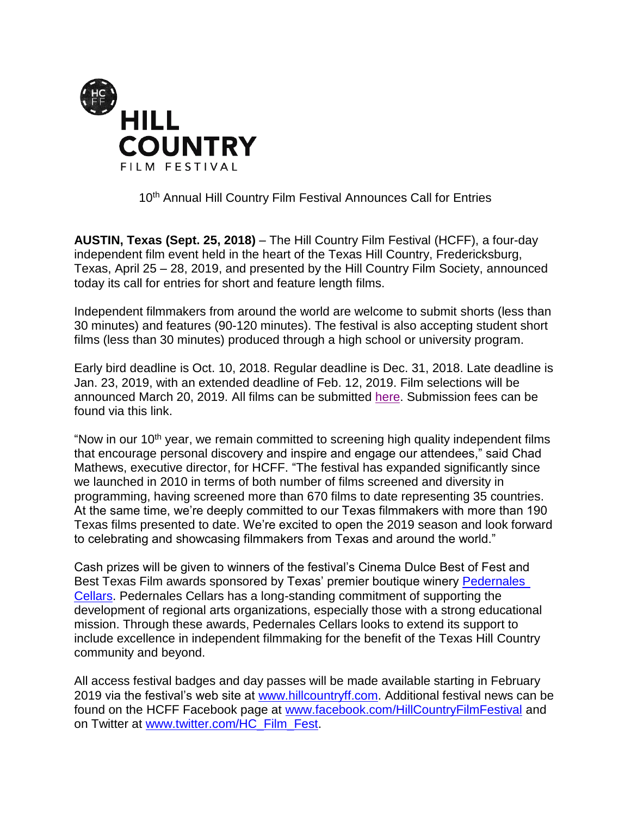

10<sup>th</sup> Annual Hill Country Film Festival Announces Call for Entries

**AUSTIN, Texas (Sept. 25, 2018)** – The Hill Country Film Festival (HCFF), a four-day independent film event held in the heart of the Texas Hill Country, Fredericksburg, Texas, April 25 – 28, 2019, and presented by the Hill Country Film Society, announced today its call for entries for short and feature length films.

Independent filmmakers from around the world are welcome to submit shorts (less than 30 minutes) and features (90-120 minutes). The festival is also accepting student short films (less than 30 minutes) produced through a high school or university program.

Early bird deadline is Oct. 10, 2018. Regular deadline is Dec. 31, 2018. Late deadline is Jan. 23, 2019, with an extended deadline of Feb. 12, 2019. Film selections will be announced March 20, 2019. All films can be submitted [here.](http://www.hillcountryff.com/festival/submissions-3/) Submission fees can be found via this link.

"Now in our  $10<sup>th</sup>$  year, we remain committed to screening high quality independent films that encourage personal discovery and inspire and engage our attendees," said Chad Mathews, executive director, for HCFF. "The festival has expanded significantly since we launched in 2010 in terms of both number of films screened and diversity in programming, having screened more than 670 films to date representing 35 countries. At the same time, we're deeply committed to our Texas filmmakers with more than 190 Texas films presented to date. We're excited to open the 2019 season and look forward to celebrating and showcasing filmmakers from Texas and around the world."

Cash prizes will be given to winners of the festival's Cinema Dulce Best of Fest and Best Texas Film awards sponsored by Texas' premier boutique winery Pedernales [Cellars.](https://www.pedernalescellars.com/) Pedernales Cellars has a long-standing commitment of supporting the development of regional arts organizations, especially those with a strong educational mission. Through these awards, Pedernales Cellars looks to extend its support to include excellence in independent filmmaking for the benefit of the Texas Hill Country community and beyond.

All access festival badges and day passes will be made available starting in February 2019 via the festival's web site at [www.hillcountryff.com.](http://www.hillcountryff.com/) Additional festival news can be found on the HCFF Facebook page at [www.facebook.com/HillCountryFilmFestival](http://www.facebook.com/HillCountryFilmFestival) and on Twitter at [www.twitter.com/HC\\_Film\\_Fest.](http://www.twitter.com/HC_Film_Fest)